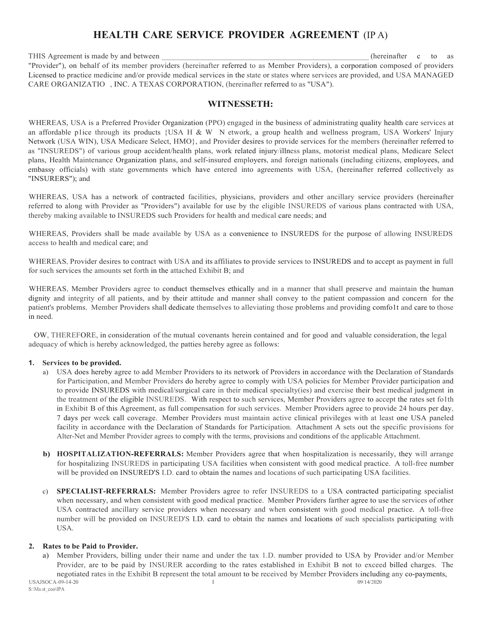# **HEALTH CARE SERVICE PROVIDER AGREEMENT** (IP A)

THIS Agreement is made by and between **EXECUTE 2008** (hereinafter c to as "Provider"), on behalf of its member providers (hereinafter referred to as Member Providers), a corporation composed of providers Licensed to practice medicine and/or provide medical services in the state or states where services are provided, and USA MANAGED CARE ORGANIZATIO , INC. A TEXAS CORPORATION, (hereinafter referred to as "USA").

# **WITNESSETH:**

WHEREAS, USA is a Preferred Provider Organization (PPO) engaged in the business of administrating quality health care services at an affordable p1ice through its products  $\{USA H & W \}$  etwork, a group health and wellness program, USA Workers' Injury Network (USA WIN), USA Medicare Select, HMO}, and Provider desires to provide services for the members (hereinafter referred to as "INSUREDS") of various group accident/health plans, work related injury/illness plans, motorist medical plans, Medicare Select plans, Health Maintenance Organization plans, and self-insured employers, and foreign nationals (including citizens, employees, and embassy officials) with state governments which have entered into agreements with USA, (hereinafter referred collectively as "INSURERS"); and

WHEREAS, USA has a network of contracted facilities, physicians, providers and other ancillary service providers (hereinafter referred to along with Provider as "Providers") available for use by the eligible INSUREDS of various plans contracted with USA, thereby making available to INSUREDS such Providers for health and medical care needs; and

WHEREAS, Providers shall be made available by USA as a convenience to INSUREDS for the purpose of allowing INSUREDS access to health and medical care; and

WHEREAS, Provider desires to contract with USA and its affiliates to provide services to INSUREDS and to accept as payment in full for such services the amounts set forth in the attached Exhibit B; and

WHEREAS, Member Providers agree to conduct themselves ethically and in a manner that shall preserve and maintain the human dignity and integrity of all patients, and by their attitude and manner shall convey to the patient compassion and concern for the patient's problems. Member Providers shall dedicate themselves to alleviating those problems and providing comfo1t and care to those in need.

OW, THEREFORE, in consideration of the mutual covenants herein contained and for good and valuable consideration, the legal adequacy of which is hereby acknowledged, the patties hereby agree as follows:

# **1. Services to be provided.**

- a) USA does hereby agree to add Member Providers to its network of Providers in accordance with the Declaration of Standards for Participation, and Member Providers do hereby agree to comply with USA policies for Member Provider participation and to provide INSUREDS with medical/surgical care in their medical specialty(ies) and exercise their best medical judgment in the treatment of the eligible INSUREDS. With respect to such services, Member Providers agree to accept the rates set fo1th in Exhibit B of this Agreement, as full compensation for such services. Member Providers agree to provide 24 hours per day, 7 days per week call coverage. Member Providers must maintain active clinical privileges with at least one USA paneled facility in accordance with the Declaration of Standards for Participation. Attachment A sets out the specific provisions for Alter-Net and Member Provider agrees to comply with the terms, provisions and conditions of the applicable Attachment.
- **b) HOSPITALIZATION-REFERRALS:** Member Providers agree that when hospitalization is necessarily, they will arrange for hospitalizing INSUREDS in participating USA facilities when consistent with good medical practice. A toll-free number will be provided on INSURED'S I.D. card to obtain the names and locations of such participating USA facilities.
- c) **SPECIALIST-REFERRALS:** Member Providers agree to refer INSUREDS to a USA contracted participating specialist when necessary, and when consistent with good medical practice. Member Providers farther agree to use the services of other USA contracted ancillary service providers when necessary and when consistent with good medical practice. A toll-free number will be provided on INSURED'S I.D. card to obtain the names and locations of such specialists participating with USA.

# **2. Rates to be Paid to Provider.**

a) Member Providers, billing under their name and under the tax 1.D. number provided to USA by Provider and/or Member Provider, are to be paid by INSURER according to the rates established in Exhibit B not to exceed billed charges. The negotiated rates in the Exhibit B represent the total amount to be received by Member Providers including any co-payments,<br> $\frac{1}{(209-14-20)}$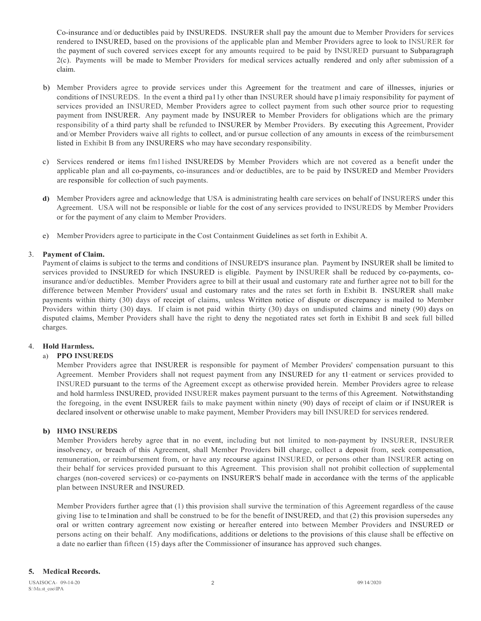Co-insurance and/or deductibles paid by INSUREDS. INSURER shall pay the amount due to Member Providers for services rendered to INSURED, based on the provisions of the applicable plan and Member Providers agree to look to INSURER for the payment of such covered services except for any amounts required to be paid by INSURED pursuant to Subparagraph 2(c). Payments will be made to Member Providers for medical services actually rendered and only after submission of a claim.

- b) Member Providers agree to provide services under this Agreement for the treatment and care of illnesses, injuries or conditions of INSUREDS. In the event a third pa11y other than INSURER should have p1imaiy responsibility for payment of services provided an INSURED, Member Providers agree to collect payment from such other source prior to requesting payment from INSURER. Any payment made by INSURER to Member Providers for obligations which are the primary responsibility of a third party shall be refunded to INSURER by Member Providers. By executing this Agreement, Provider and/or Member Providers waive all rights to collect, and/or pursue collection of any amounts in excess of the reimbursement listed in Exhibit B from any INSURERS who may have secondary responsibility.
- c) Services rendered or items fm11ished INSUREDS by Member Providers which are not covered as a benefit under the applicable plan and all co-payments, co-insurances and/or deductibles, are to be paid by INSURED and Member Providers are responsible for collection of such payments.
- **d)** Member Providers agree and acknowledge that USA is administrating health care services on behalf of INSURERS under this Agreement. USA will not be responsible or liable for the cost of any services provided to INSUREDS by Member Providers or for the payment of any claim to Member Providers.
- e) Member Providers agree to participate in the Cost Containment Guidelines as set forth in Exhibit A.

#### 3. **Payment of Claim.**

Payment of claims is subject to the terms and conditions of INSURED'S insurance plan. Payment by INSURER shall be limited to services provided to INSURED for which INSURED is eligible. Payment by INSURER shall be reduced by co-payments, coinsurance and/or deductibles. Member Providers agree to bill at their usual and customary rate and further agree not to bill for the difference between Member Providers' usual and customary rates and the rates set forth in Exhibit B. INSURER shall make payments within thirty (30) days of receipt of claims, unless Written notice of dispute or discrepancy is mailed to Member Providers within thirty (30) days. If claim is not paid within thirty (30) days on undisputed claims and ninety (90) days on disputed claims, Member Providers shall have the right to deny the negotiated rates set forth in Exhibit B and seek full billed charges.

#### 4. **Hold Harmless.**

#### a) **PPO INSUREDS**

Member Providers agree that INSURER is responsible for payment of Member Providers' compensation pursuant to this Agreement. Member Providers shall not request payment from any INSURED for any t1·eatment or services provided to INSURED pursuant to the terms of the Agreement except as otherwise provided herein. Member Providers agree to release and hold harmless INSURED, provided INSURER makes payment pursuant to the terms of this Agreement. Notwithstanding the foregoing, in the event INSURER fails to make payment within ninety (90) days of receipt of claim or if INSURER is declared insolvent or otherwise unable to make payment, Member Providers may bill INSURED for services rendered.

# **b) HMO INSUREDS**

Member Providers hereby agree that in no event, including but not limited to non-payment by INSURER, INSURER insolvency, or breach of this Agreement, shall Member Providers bill charge, collect a deposit from, seek compensation, remuneration, or reimbursement from, or have any recourse against INSURED, or persons other than INSURER acting on their behalf for services provided pursuant to this Agreement. This provision shall not prohibit collection of supplemental charges (non-covered services) or co-payments on INSURER'S behalf made in accordance with the terms of the applicable plan between INSURER and INSURED.

Member Providers further agree that (1) this provision shall survive the termination of this Agreement regardless of the cause giving 1ise to te1mination and shall be construed to be for the benefit of INSURED, and that (2) this provision supersedes any oral or written contrary agreement now existing or hereafter entered into between Member Providers and INSURED or persons acting on their behalf. Any modifications, additions or deletions to the provisions of this clause shall be effective on a date no earlier than fifteen (15) days after the Commissioner of insurance has approved such changes.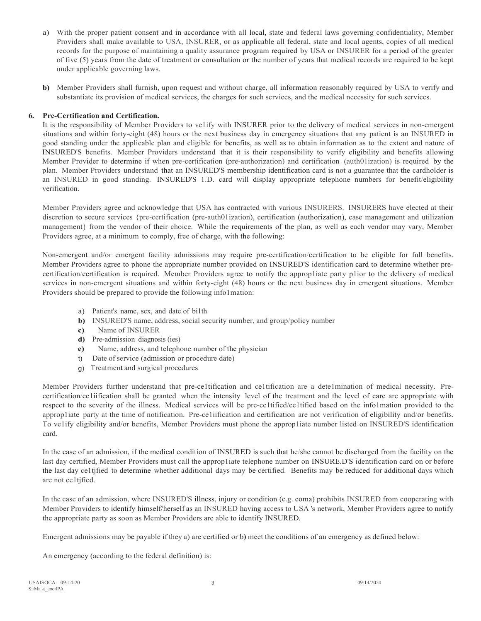- a) With the proper patient consent and in accordance with all local, state and federal laws governing confidentiality, Member Providers shall make available to USA, INSURER, or as applicable all federal, state and local agents, copies of all medical records for the purpose of maintaining a quality assurance program required by USA or INSURER for a period of the greater of five (5) years from the date of treatment or consultation or the number of years that medical records are required to be kept under applicable governing laws.
- **b)** Member Providers shall furnish, upon request and without charge, all information reasonably required by USA to verify and substantiate its provision of medical services, the charges for such services, and the medical necessity for such services.

# **6. Pre-Certification and Certification.**

It is the responsibility of Member Providers to ve1ify with INSURER prior to the delivery of medical services in non-emergent situations and within forty-eight (48) hours or the next business day in emergency situations that any patient is an INSURED in good standing under the applicable plan and eligible for benefits, as well as to obtain information as to the extent and nature of INSURED'S benefits. Member Providers understand that it is their responsibility to verify eligibility and benefits allowing Member Provider to determine if when pre-certification (pre-authorization) and certification (auth01ization) is required by the plan. Member Providers understand that an INSURED'S membership identification card is not a guarantee that the cardholder is an INSURED in good standing. INSURED'S 1.D. card will display appropriate telephone numbers for benefit/eligibility verification.

Member Providers agree and acknowledge that USA has contracted with various INSURERS. INSURERS have elected at their discretion to secure services {pre-certification (pre-auth01ization), certification (authorization), case management and utilization management} from the vendor of their choice. While the requirements of the plan, as well as each vendor may vary, Member Providers agree, at a minimum to comply, free of charge, with the following:

Non-emergent and/or emergent facility admissions may require pre-certification/certification to be eligible for full benefits. Member Providers agree to phone the appropriate number provided on INSURED'S identification card to determine whether precertification/certification is required. Member Providers agree to notify the approp1iate party p1ior to the delivery of medical services in non-emergent situations and within forty-eight (48) hours or the next business day in emergent situations. Member Providers should be prepared to provide the following info1mation:

- a) Patient's name, sex, and date of bi1th
- **b)** INSURED'S name, address, social security number, and group/policy number
- **c)** Name of INSURER
- **d)** Pre-admission diagnosis (ies)
- **e)** Name, address, and telephone number of the physician
- t) Date of service (admission or procedure date)
- g) Treatment and surgical procedures

Member Providers further understand that pre-ce1tification and ce1tification are a dete1mination of medical necessity. Precertification/ce1iification shall be granted when the intensity level of the treatment and the level of care are appropriate with respect to the severity of the illness. Medical services will be pre-ce1tified/ce1tified based on the info1mation provided to the approp1iate party at the time of notification. Pre-ce1iification and certification are not verification of eligibility and/or benefits. To ve1ify eligibility and/or benefits, Member Providers must phone the approp1iate number listed on INSURED'S identification card.

In the case of an admission, if the medical condition of INSURED is such that he/she cannot be discharged from the facility on the last day certified, Member Providers must call the approp1iate telephone number on INSURE.D'S identification card on or before the last day ce1tjfied to determine whether additional days may be certified. Benefits may be reduced for additional days which are not ce1tjfied.

In the case of an admission, where INSURED'S illness, injury or condition (e.g. coma) prohibits INSURED from cooperating with Member Providers to identify himself/herself as an INSURED having access to USA 's network, Member Providers agree to notify the appropriate party as soon as Member Providers are able to identify INSURED.

Emergent admissions may be payable if they a) are certified or b**)** meet the conditions of an emergency as defined below:

An emergency (according to the federal definition) is: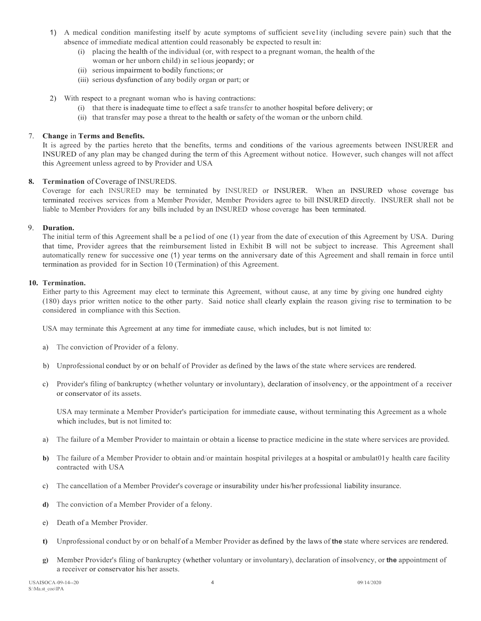- 1) A medical condition manifesting itself by acute symptoms of sufficient seve1ity (including severe pain) such that the absence of immediate medical attention could reasonably be expected to result in:
	- (i) placing the health of the individual (or, with respect to a pregnant woman, the health of the
		- woman or her unborn child) in se1ious jeopardy; or
	- (ii) serious impairment to bodily functions; or
	- (iii) serious dysfunction of any bodily organ or part; or
- 2) With respect to a pregnant woman who is having contractions:
	- (i) that there is inadequate time to effect a safe transfer to another hospital before delivery; or
	- (ii) that transfer may pose a threat to the health or safety of the woman or the unborn child.

# 7. **Change** in **Terms and Benefits.**

It is agreed by the parties hereto that the benefits, terms and conditions of the various agreements between INSURER and INSURED of any plan may be changed during the term of this Agreement without notice. However, such changes will not affect this Agreement unless agreed to by Provider and USA

# **8. Termination** of Coverage of INSUREDS.

Coverage for each INSURED may be terminated by INSURED or INSURER. When an INSURED whose coverage bas terminated receives services from a Member Provider, Member Providers agree to bill INSURED directly. INSURER shall not be liable to Member Providers for any bills included by an INSURED whose coverage has been terminated.

# 9. **Duration.**

The initial term of this Agreement shall be a pe1iod of one (1) year from the date of execution of this Agreement by USA. During that time, Provider agrees that the reimbursement listed in Exhibit B will not be subject to increase. This Agreement shall automatically renew for successive one (1) year terms on the anniversary date of this Agreement and shall remain in force until termination as provided for in Section 10 (Termination) of this Agreement.

# **10. Termination.**

Either party to this Agreement may elect to terminate this Agreement, without cause, at any time by giving one hundred eighty (180) days prior written notice to the other party. Said notice shall clearly explain the reason giving rise to termination to be considered in compliance with this Section.

USA may terminate this Agreement at any time for immediate cause, which includes, but is not limited to:

- a) The conviction of Provider of a felony.
- b) Unprofessional conduct by or on behalf of Provider as defined by the laws of the state where services are rendered.
- c) Provider's filing of bankruptcy (whether voluntary or involuntary), declaration of insolvency, or the appointment of a receiver or conservator of its assets.

USA may terminate a Member Provider's participation for immediate cause, without terminating this Agreement as a whole which includes, but is not limited to:

- a) The failure of a Member Provider to maintain or obtain a license to practice medicine in the state where services are provided.
- **b)** The failure of a Member Provider to obtain and/or maintain hospital privileges at a hospital or ambulat01y health care facility contracted with USA
- c) The cancellation of a Member Provider's coverage or insurability under his/her professional liability insurance.
- **d)** The conviction of a Member Provider of a felony.
- e) Death of a Member Provider.
- **t)** Unprofessional conduct by or on behalf of a Member Provider as defined by the laws of **the** state where services are rendered.
- **g)** Member Provider's filing of bankruptcy (whether voluntary or involuntary), declaration of insolvency, or **the** appointment of a receiver or conservator his/her assets.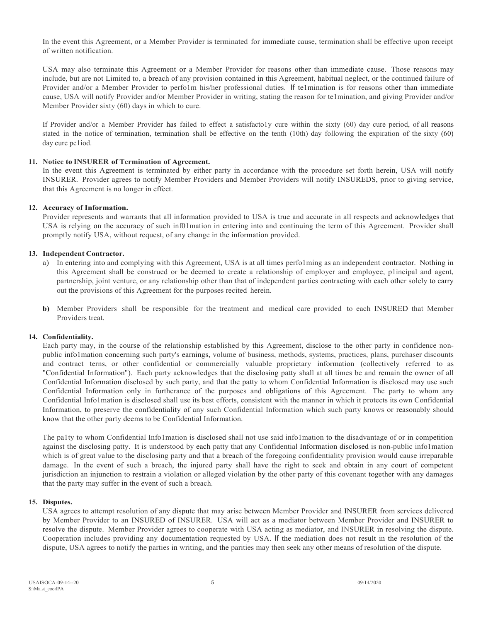In the event this Agreement, or a Member Provider is terminated for immediate cause, termination shall be effective upon receipt of written notification.

USA may also terminate this Agreement or a Member Provider for reasons other than immediate cause. Those reasons may include, but are not Limited to, a breach of any provision contained in this Agreement, habitual neglect, or the continued failure of Provider and/or a Member Provider to perfo1m his/her professional duties. If te1mination is for reasons other than immediate cause, USA will notify Provider and/or Member Provider in writing, stating the reason for te1mination, and giving Provider and/or Member Provider sixty (60) days in which to cure.

If Provider and/or a Member Provider has failed to effect a satisfacto1y cure within the sixty (60) day cure period, of all reasons stated in the notice of termination, termination shall be effective on the tenth (10th) day following the expiration of the sixty (60) day cure pe1iod.

#### **11. Notice to INSURER of Termination of Agreement.**

In the event this Agreement is terminated by either party in accordance with the procedure set forth herein, USA will notify INSURER. Provider agrees to notify Member Providers and Member Providers will notify INSUREDS, prior to giving service, that this Agreement is no longer in effect.

#### **12. Accuracy of Information.**

Provider represents and warrants that all information provided to USA is true and accurate in all respects and acknowledges that USA is relying on the accuracy of such inf01mation in entering into and continuing the term of this Agreement. Provider shall promptly notify USA, without request, of any change in the information provided.

#### **13. Independent Contractor.**

- a) In entering into and complying with this Agreement, USA is at all times perfo1ming as an independent contractor. Nothing in this Agreement shall be construed or be deemed to create a relationship of employer and employee, p1incipal and agent, partnership, joint venture, or any relationship other than that of independent parties contracting with each other solely to carry out the provisions of this Agreement for the purposes recited herein.
- **b)** Member Providers shall be responsible for the treatment and medical care provided to each INSURED that Member Providers treat.

#### **14. Confidentiality.**

Each party may, in the course of the relationship established by this Agreement, disclose to the other party in confidence nonpublic info1mation concerning such party's earnings, volume of business, methods, systems, practices, plans, purchaser discounts and contract terns, or other confidential or commercially valuable proprietary information (collectively referred to as "Confidential Information"). Each party acknowledges that the disclosing patty shall at all times be and remain the owner of all Confidential Information disclosed by such party, and that the patty to whom Confidential Information is disclosed may use such Confidential Information only in furtherance of the purposes and obligations of this Agreement. The party to whom any Confidential Info1mation is disclosed shall use its best efforts, consistent with the manner in which it protects its own Confidential Information, to preserve the confidentiality of any such Confidential Information which such party knows or reasonably should know that the other party deems to be Confidential Information.

The pa1ty to whom Confidential Info1mation is disclosed shall not use said info1mation to the disadvantage of or in competition against the disclosing patty. It is understood by each patty that any Confidential Information disclosed is non-public info1mation which is of great value to the disclosing party and that a breach of the foregoing confidentiality provision would cause irreparable damage. In the event of such a breach, the injured party shall have the right to seek and obtain in any court of competent jurisdiction an injunction to restrain a violation or alleged violation by the other party of this covenant together with any damages that the party may suffer in the event of such a breach.

#### **15. Disputes.**

USA agrees to attempt resolution of any dispute that may arise between Member Provider and INSURER from services delivered by Member Provider to an INSURED of INSURER. USA will act as a mediator between Member Provider and INSURER to resolve the dispute. Member Provider agrees to cooperate with USA acting as mediator, and INSURER in resolving the dispute. Cooperation includes providing any documentation requested by USA. If the mediation does not result in the resolution of the dispute, USA agrees to notify the parties in writing, and the parities may then seek any other means of resolution of the dispute.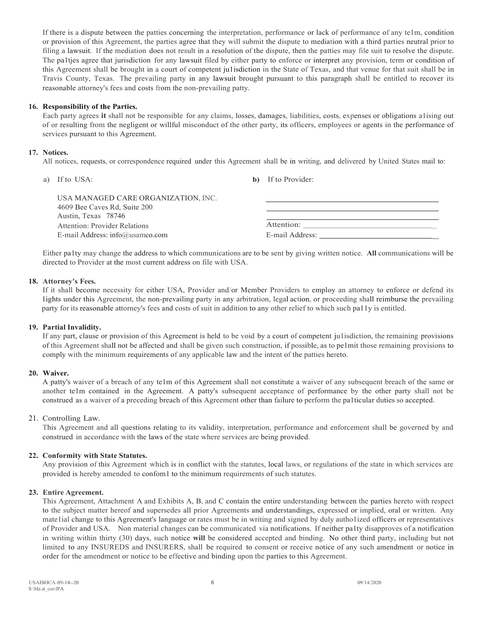If there is a dispute between the patties concerning the interpretation, performance or lack of performance of any te1m, condition or provision of this Agreement, the parties agree that they will submit the dispute to mediation with a third parties neutral prior to filing a lawsuit. If the mediation does not result in a resolution of the dispute, then the patties may file suit to resolve the dispute. The pa1tjes agree that jurisdiction for any lawsuit filed by either party to enforce or interpret any provision, term or condition of this Agreement shall be brought in a court of competent ju1isdiction in the State of Texas, and that venue for that suit shall be in Travis County, Texas. The prevailing party in any lawsuit brought pursuant to this paragraph shall be entitled to recover its reasonable attorney's fees and costs from the non-prevailing patty.

# **16. Responsibility of the Parties.**

Each party agrees **it** shall not be responsible for any claims, losses, damages, liabilities, costs, expenses or obligations a1ising out of or resulting from the negligent or willful misconduct of the other party, its officers, employees or agents in the performance of services pursuant to this Agreement.

# **17. Notices.**

All notices, requests, or correspondence required under this Agreement shall be in writing, and delivered by United States mail to:

a) If to USA: **b)** If to Provider:

| USA MANAGED CARE ORGANIZATION, INC. |                 |
|-------------------------------------|-----------------|
| 4609 Bee Caves Rd, Suite 200        |                 |
| Austin, Texas 78746                 |                 |
| Attention: Provider Relations       | Attention:      |
| E-mail Address: info@usamco.com     | E-mail Address: |

Either pa1ty may change the address to which communications are to be sent by giving written notice. **All** communications will be directed to Provider at the most current address on file with USA.

# **18. Attorney's Fees.**

If it shall become necessity for either USA, Provider and/or Member Providers to employ an attorney to enforce or defend its 1ights under this Agreement, the non-prevailing party in any arbitration, legal action, or proceeding shall reimburse the prevailing party for its reasonable attorney's fees and costs of suit in addition to any other relief to which such pa11y is entitled.

# **19. Partial Invalidity.**

If any part, clause or provision of this Agreement is held to be void by a court of competent ju1isdiction, the remaining provisions of this Agreement shall not be affected and shall be given such construction, if possible, as to pe1mit those remaining provisions to comply with the minimum requirements of any applicable law and the intent of the patties hereto.

# **20. Waiver.**

A patty's waiver of a breach of any te1m of this Agreement shall not constitute a waiver of any subsequent breach of the same or another te1m contained in the Agreement. A patty's subsequent acceptance of performance by the other party shall not be construed as a waiver of a preceding breach of this Agreement other than failure to perform the pa1ticular duties so accepted.

# 21. Controlling Law.

This Agreement and all questions relating to its validity, interpretation, performance and enforcement shall be governed by and construed in accordance with the laws of the state where services are being provided.

# **22. Conformity with State Statutes.**

Any provision of this Agreement which is in conflict with the statutes, local laws, or regulations of the state in which services are provided is hereby amended to confom1 to the minimum requirements of such statutes.

# **23. Entire Agreement.**

This Agreement, Attachment A and Exhibits A, B, and C contain the entire understanding between the parties hereto with respect to the subject matter hereof and supersedes all prior Agreements and understandings, expressed or implied, oral or written. Any matelial change to this Agreement's language or rates must be in writing and signed by duly autholized officers or representatives of Provider and USA. Non material changes can be communicated via notifications. If neither pa1ty disapproves of a notification in writing within thirty (30) days, such notice **will** be considered accepted and binding. No other third party, including but not limited to any INSUREDS and INSURERS, shall be required to consent or receive notice of any such amendment or notice in order for the amendment or notice to be effective and binding upon the parties to this Agreement.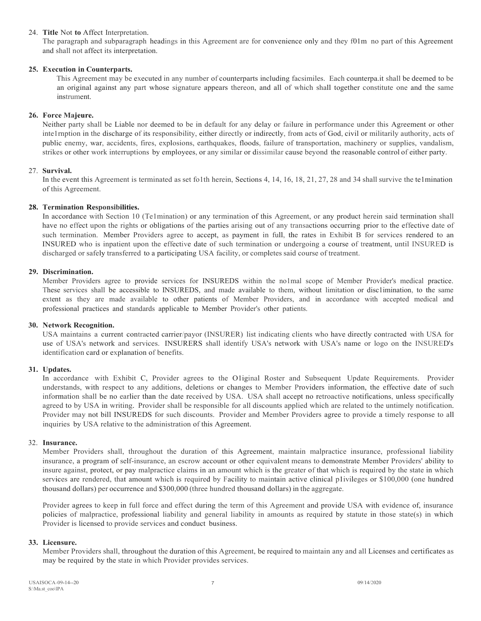#### 24. **Title** Not **to** Affect Interpretation.

The paragraph and subparagraph headings in this Agreement are for convenience only and they f01m no part of this Agreement and shall not affect its interpretation.

#### **25. Execution in Counterparts.**

This Agreement may be executed in any number of counterparts including facsimiles. Each counterpa.it shall be deemed to be an original against any part whose signature appears thereon, and all of which shall together constitute one and the same instrument.

#### **26. Force Majeure.**

Neither party shall be Liable nor deemed to be in default for any delay or failure in performance under this Agreement or other inte1rnption in the discharge of its responsibility, either directly or indirectly, from acts of God, civil or militarily authority, acts of public enemy, war, accidents, fires, explosions, earthquakes, floods, failure of transportation, machinery or supplies, vandalism, strikes or other work interruptions by employees, or any similar or dissimilar cause beyond the reasonable control of either party.

#### 27. **Survival.**

In the event this Agreement is terminated as set fo1th herein, Sections 4, 14, 16, 18, 21, 27, 28 and 34 shall survive the te1mination of this Agreement.

#### **28. Termination Responsibilities.**

In accordance with Section 10 (Te1mination) or any termination of this Agreement, or any product herein said termination shall have no effect upon the rights or obligations of the parties arising out of any transactions occurring prior to the effective date of such termination. Member Providers agree to accept, as payment in full, the rates in Exhibit B for services rendered to an INSURED who is inpatient upon the effective date of such termination or undergoing a course of treatment, until INSURED is discharged or safely transferred to a participating USA facility, or completes said course of treatment.

#### **29. Discrimination.**

Member Providers agree to provide services for INSUREDS within the no1mal scope of Member Provider's medical practice. These services shall be accessible to INSUREDS, and made available to them, without limitation or disc1imination, to the same extent as they are made available to other patients of Member Providers, and in accordance with accepted medical and professional practices and standards applicable to Member Provider's other patients.

#### **30. Network Recognition.**

USA maintains a current contracted carrier/payor (INSURER) list indicating clients who have directly contracted with USA for use of USA's network and services. INSURERS shall identify USA's network with USA's name or logo on the INSURED's identification card or explanation of benefits.

# **31. Updates.**

In accordance with Exhibit C, Provider agrees to the O1iginal Roster and Subsequent Update Requirements. Provider understands, with respect to any additions, deletions or changes to Member Providers information, the effective date of such information shall be no earlier than the date received by USA. USA shall accept no retroactive notifications, unless specifically agreed to by USA in writing. Provider shall be responsible for all discounts applied which are related to the untimely notification. Provider may not bill INSUREDS for such discounts. Provider and Member Providers agree to provide a timely response to all inquiries by USA relative to the administration of this Agreement.

#### 32. **Insurance.**

Member Providers shall, throughout the duration of this Agreement, maintain malpractice insurance, professional liability insurance, a program of self-insurance, an escrow account or other equivalent means to demonstrate Member Providers' ability to insure against, protect, or pay malpractice claims in an amount which is the greater of that which is required by the state in which services are rendered, that amount which is required by Facility to maintain active clinical p1ivileges or \$100,000 (one hundred thousand dollars) per occurrence and \$300,000 (three hundred thousand dollars) in the aggregate.

Provider agrees to keep in full force and effect during the term of this Agreement and provide USA with evidence of, insurance policies of malpractice, professional liability and general liability in amounts as required by statute in those state(s) in which Provider is licensed to provide services and conduct business.

#### **33. Licensure.**

Member Providers shall, throughout the duration of this Agreement, be required to maintain any and all Licenses and certificates as may be required by the state in which Provider provides services.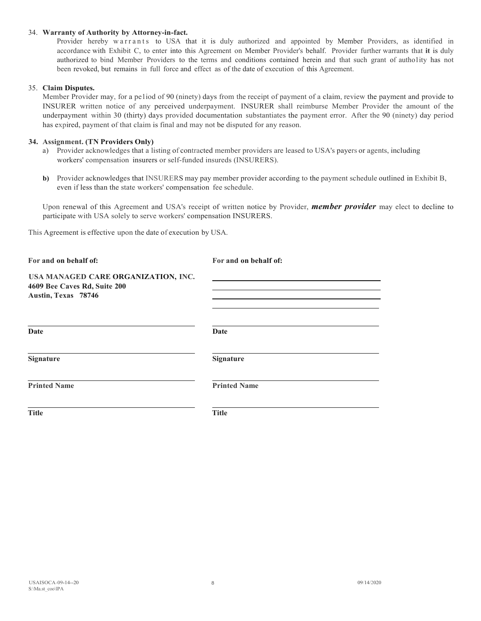#### 34. **Warranty of Authority by Attorney-in-fact.**

Provider hereby warrants to USA that it is duly authorized and appointed by Member Providers, as identified in accordance with Exhibit C, to enter into this Agreement on Member Provider's behalf. Provider further warrants that **it** is duly authorized to bind Member Providers to the terms and conditions contained herein and that such grant of autholity has not been revoked, but remains in full force and effect as of the date of execution of this Agreement.

#### 35. **Claim Disputes.**

Member Provider may, for a pe1iod of 90 (ninety) days from the receipt of payment of a claim, review the payment and provide to INSURER written notice of any perceived underpayment. INSURER shall reimburse Member Provider the amount of the underpayment within 30 (thirty) days provided documentation substantiates the payment error. After the 90 (ninety) day period has expired, payment of that claim is final and may not be disputed for any reason.

#### **34. Assignment. (TN Providers Only)**

- a) Provider acknowledges that a listing of contracted member providers are leased to USA's payers or agents, including workers' compensation insurers or self-funded insureds (INSURERS).
- **b)** Provider acknowledges that INSURERS may pay member provider according to the payment schedule outlined in Exhibit B, even if less than the state workers' compensation fee schedule.

Upon renewal of this Agreement and USA's receipt of written notice by Provider, *member provider* may elect to decline to participate with USA solely to serve workers' compensation INSURERS.

This Agreement is effective upon the date of execution by USA.

| For and on behalf of:                                                                      | For and on behalf of: |
|--------------------------------------------------------------------------------------------|-----------------------|
| USA MANAGED CARE ORGANIZATION, INC.<br>4609 Bee Caves Rd, Suite 200<br>Austin, Texas 78746 |                       |
| Date                                                                                       | Date                  |
| <b>Signature</b>                                                                           | <b>Signature</b>      |
| <b>Printed Name</b>                                                                        | <b>Printed Name</b>   |
| <b>Title</b>                                                                               | <b>Title</b>          |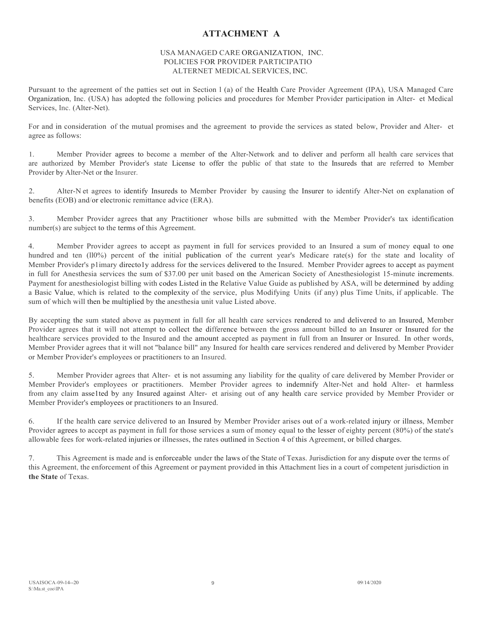# **ATTACHMENT A**

#### USA MANAGED CARE ORGANIZATION, INC. POLICIES FOR PROVIDER PARTICIPATIO ALTERNET MEDICAL SERVICES, INC.

Pursuant to the agreement of the patties set out in Section l (a) of the Health Care Provider Agreement (IPA), USA Managed Care Organization, Inc. (USA) has adopted the following policies and procedures for Member Provider participation in Alter- et Medical Services, Inc. (Alter-Net).

For and in consideration of the mutual promises and the agreement to provide the services as stated below, Provider and Alter- et agree as follows:

1. Member Provider agrees to become a member of the Alter-Network and to deliver and perform all health care services that are authorized by Member Provider's state License to offer the public of that state to the Insureds that are referred to Member Provider by Alter-Net or the Insurer.

2. Alter-N et agrees to identify Insureds to Member Provider by causing the Insurer to identify Alter-Net on explanation of benefits (EOB) and/or electronic remittance advice (ERA).

3. Member Provider agrees that any Practitioner whose bills are submitted with the Member Provider's tax identification number(s) are subject to the terms of this Agreement.

4. Member Provider agrees to accept as payment in full for services provided to an Insured a sum of money equal to one hundred and ten (ll0%) percent of the initial publication of the current year's Medicare rate(s) for the state and locality of Member Provider's p1imary directo1y address for the services delivered to the Insured. Member Provider agrees to accept as payment in full for Anesthesia services the sum of \$37.00 per unit based on the American Society of Anesthesiologist 15-minute increments. Payment for anesthesiologist billing with codes Listed in the Relative Value Guide as published by ASA, will be determined by adding a Basic Value, which is related to the complexity of the service, plus Modifying Units (if any) plus Time Units, if applicable. The sum of which will then be multiplied by the anesthesia unit value Listed above.

By accepting the sum stated above as payment in full for all health care services rendered to and delivered to an Insured, Member Provider agrees that it will not attempt to collect the difference between the gross amount billed to an Insurer or Insured for the healthcare services provided to the Insured and the amount accepted as payment in full from an Insurer or Insured. In other words, Member Provider agrees that it will not "balance bill" any Insured for health care services rendered and delivered by Member Provider or Member Provider's employees or practitioners to an Insured.

5. Member Provider agrees that Alter- et is not assuming any liability for the quality of care delivered by Member Provider or Member Provider's employees or practitioners. Member Provider agrees to indemnify Alter-Net and hold Alter- et harmless from any claim asse1ted by any Insured against Alter- et arising out of any health care service provided by Member Provider or Member Provider's employees or practitioners to an Insured.

6. If the health care service delivered to an Insured by Member Provider arises out of a work-related injury or illness, Member Provider agrees to accept as payment in full for those services a sum of money equal to the lesser of eighty percent (80%) of the state's allowable fees for work-related injuries or illnesses, the rates outlined in Section 4 of this Agreement, or billed charges.

7. This Agreement is made and is enforceable under the laws of the State of Texas. Jurisdiction for any dispute over the terms of this Agreement, the enforcement of this Agreement or payment provided in this Attachment lies in a court of competent jurisdiction in **the State** of Texas.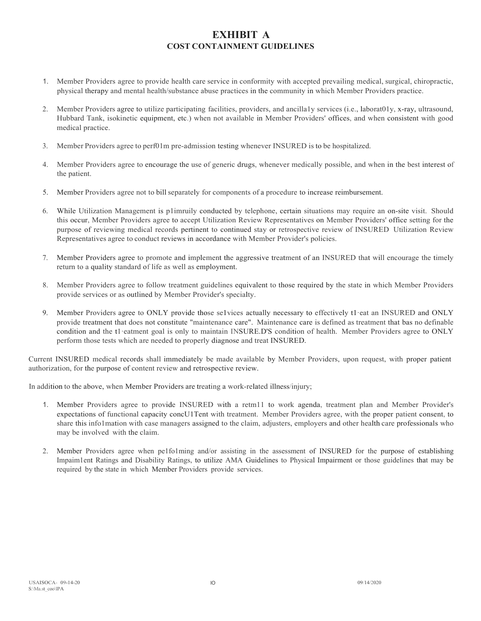# **EXHIBIT A COST CONTAINMENT GUIDELINES**

- 1. Member Providers agree to provide health care service in conformity with accepted prevailing medical, surgical, chiropractic, physical therapy and mental health/substance abuse practices in the community in which Member Providers practice.
- 2. Member Providers agree to utilize participating facilities, providers, and ancilla1y services (i.e., laborat01y, x-ray, ultrasound, Hubbard Tank, isokinetic equipment, etc.) when not available in Member Providers' offices, and when consistent with good medical practice.
- 3. Member Providers agree to perf01m pre-admission testing whenever INSURED is to be hospitalized.
- 4. Member Providers agree to encourage the use of generic drugs, whenever medically possible, and when in the best interest of the patient.
- 5. Member Providers agree not to bill separately for components of a procedure to increase reimbursement.
- 6. While Utilization Management is p1imruily conducted by telephone, certain situations may require an on-site visit. Should this occur, Member Providers agree to accept Utilization Review Representatives on Member Providers' office setting for the purpose of reviewing medical records pertinent to continued stay or retrospective review of INSURED Utilization Review Representatives agree to conduct reviews in accordance with Member Provider's policies.
- 7. Member Providers agree to promote and implement the aggressive treatment of an INSURED that will encourage the timely return to a quality standard of life as well as employment.
- 8. Member Providers agree to follow treatment guidelines equivalent to those required by the state in which Member Providers provide services or as outlined by Member Provider's specialty.
- 9. Member Providers agree to ONLY provide those se1vices actually necessary to effectively t1·eat an INSURED and ONLY provide treatment that does not constitute "maintenance care". Maintenance care is defined as treatment that bas no definable condition and the t1 eatment goal is only to maintain INSURE.D'S condition of health. Member Providers agree to ONLY perform those tests which are needed to properly diagnose and treat INSURED.

Current INSURED medical records shall immediately be made available by Member Providers, upon request, with proper patient authorization, for the purpose of content review and retrospective review.

In addition to the above, when Member Providers are treating a work-related illness/injury;

- 1. Member Providers agree to provide INSURED with a retm11 to work agenda, treatment plan and Member Provider's expectations of functional capacity concU1Tent with treatment. Member Providers agree, with the proper patient consent, to share this info1mation with case managers assigned to the claim, adjusters, employers and other health care professionals who may be involved with the claim.
- 2. Member Providers agree when pe1fo1ming and/or assisting in the assessment of INSURED for the purpose of establishing Impaim1ent Ratings and Disability Ratings, to utilize AMA Guidelines to Physical Impairment or those guidelines that may be required by the state in which Member Providers provide services.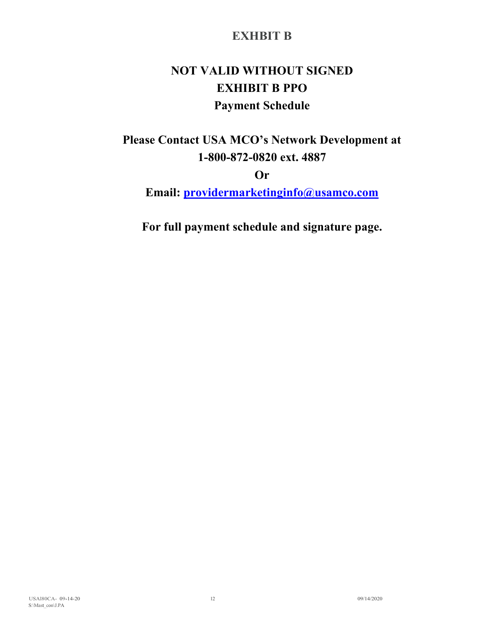# **EXHBIT B**

# **NOT VALID WITHOUT SIGNED EXHIBIT B PPO Payment Schedule**

**Please Contact USA MCO's Network Development at 1-800-872-0820 ext. 4887**

**Or** 

**Email: [providermarketinginfo@usamco.com](mailto:providermarketinginfo@usamco.com)**

**For full payment schedule and signature page.**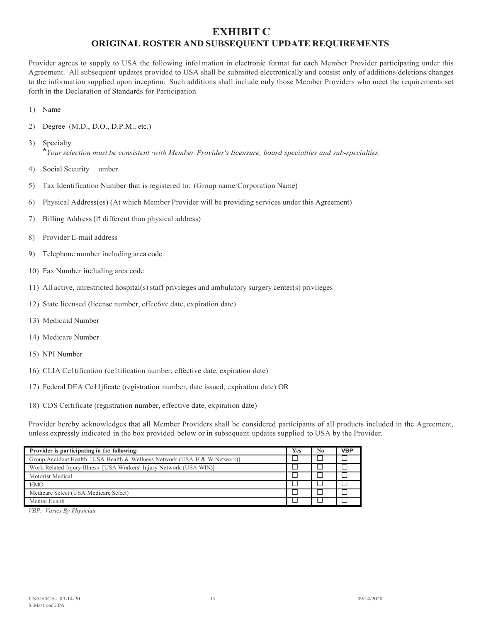# **EXHIBIT C ORIGINAL ROSTER AND SUBSEQUENT UPDATE REQUIREMENTS**

Provider agrees to supply to USA the following info1mation in electronic format for each Member Provider participating under this Agreement. All subsequent updates provided to USA shall be submitted electronically and consist only of additions/deletions/changes to the information supplied upon inception. Such additions shall include only those Member Providers who meet the requirements set forth in the Declaration of Standards for Participation.

- 1) Name
- 2) Degree (M.D., D.O., D.P.M., etc.)
- 3) Specialty \**Yourselection must be consistent ·with Member Provider's licensure, board specialties and sub-specialties.*
- 4) Social Security umber
- 5) Tax Identification Number that is registered to: (Group name/Corporation Name)
- 6) Physical Address(es) (At which Member Provider will be providing services under this Agreement)
- 7) Billing Address (If different than physical address)
- 8) Provider E-mail address
- 9) Telephone number including area code
- 10) Fax Number including area code
- 11) All active, unrestricted hospital(s) staff privileges and ambulatory surgery center(s) privileges
- 12) State licensed (license number, effec6ve date, expiration date)
- 13) Medicaid Number
- 14) Medicare Number
- 15) NPI Number
- 16) CLIA Ce1tification (ce1tification number, effective date, expiration date)
- 17) Federal DEA Ce11jficate (registration number, date issued, expiration date) OR
- 18) CDS Certificate (registration number, effective date, expiration date)

Provider hereby acknowledges that all Member Providers shall be considered participants of all products included in the Agreement, unless expressly indicated in the box provided below or in subsequent updates supplied to USA by the Provider.

| Provider is participating in the following:                               | <b>Yes</b> | No | <b>VBP</b> |
|---------------------------------------------------------------------------|------------|----|------------|
| Group/Accident Health [USA Health & Wellness Network (USA H & W Network)] |            |    |            |
| Work Related Injury/Illness [USA Workers' Injury Network (USA WIN)]       |            |    |            |
| Motorist Medical                                                          |            |    |            |
| <b>HMO</b>                                                                |            |    |            |
| Medicare Select (USA Medicare Select)                                     |            |    |            |
| Mental Health                                                             |            |    |            |

*VBP: Varies By Physician*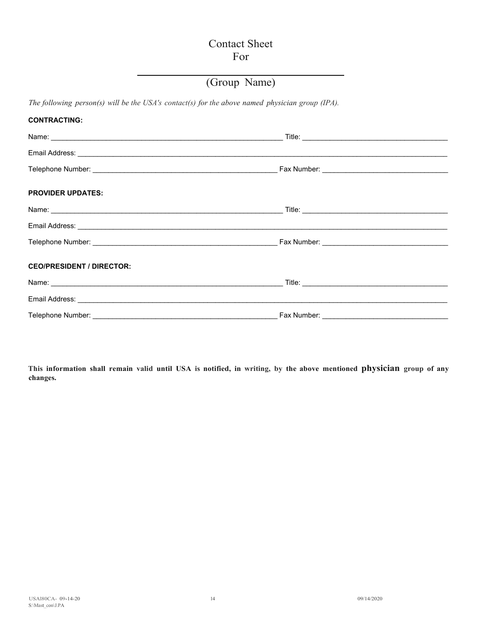# Contact Sheet For

# (Group Name)

*The following person(s) will be the USA's contact(s) for the above named physician group (IPA).*

| <b>CONTRACTING:</b>              |  |
|----------------------------------|--|
|                                  |  |
|                                  |  |
|                                  |  |
| <b>PROVIDER UPDATES:</b>         |  |
|                                  |  |
|                                  |  |
|                                  |  |
| <b>CEO/PRESIDENT / DIRECTOR:</b> |  |
|                                  |  |
|                                  |  |
|                                  |  |

This information shall remain valid until USA is notified, in writing, by the above mentioned physician group of any **changes.**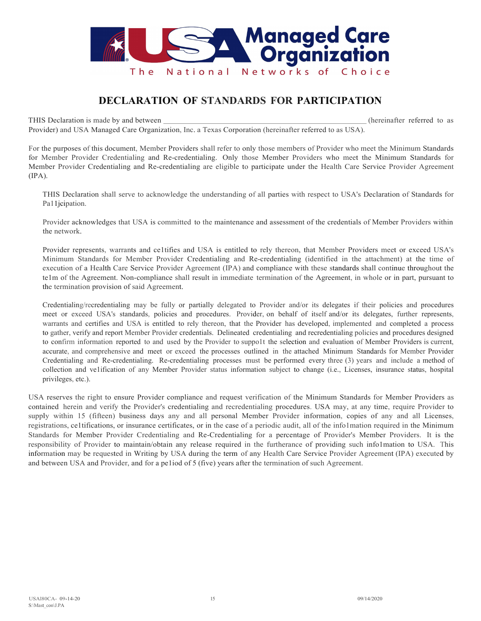

# **DECLARATION OF STANDARDS FOR PARTICIPATION**

THIS Declaration is made by and between  $($ hereinafter referred to as

Provider) and USA Managed Care Organization, Inc. a Texas Corporation (hereinafter referred to as USA).

For the purposes of this document, Member Providers shall refer to only those members of Provider who meet the Minimum Standards for Member Provider Credentialing and Re-credentialing. Only those Member Providers who meet the Minimum Standards for Member Provider Credentialing and Re-credentialing are eligible to participate under the Health Care Service Provider Agreement (IPA).

THIS Declaration shall serve to acknowledge the understanding of all parties with respect to USA's Declaration of Standards for Pa11jcipation.

Provider acknowledges that USA is committed to the maintenance and assessment of the credentials of Member Providers within the network.

Provider represents, warrants and ce1tifies and USA is entitled to rely thereon, that Member Providers meet or exceed USA's Minimum Standards for Member Provider Credentialing and Re-credentialing (identified in the attachment) at the time of execution of a Health Care Service Provider Agreement (IPA) and compliance with these standards shall continue throughout the te1m of the Agreement. Non-compliance shall result in immediate termination of the Agreement, in whole or in part, pursuant to the termination provision of said Agreement.

Credentialing/recredentialing may be fully or partially delegated to Provider and/or its delegates if their policies and procedures meet or exceed USA's standards, policies and procedures. Provider, on behalf of itself and/or its delegates, further represents, warrants and certifies and USA is entitled to rely thereon, that the Provider has developed, implemented and completed a process to gather, verify and report Member Provider credentials. Delineated credentialing and recredentialing policies and procedures designed to confirm information reported to and used by the Provider to suppo1t the selection and evaluation of Member Providers is current, accurate, and comprehensive and meet or exceed the processes outlined in the attached Minimum Standards for Member Provider Credentialing and Re-credentialing. Re-credentialing processes must be performed every three (3) years and include a method of collection and ve1ification of any Member Provider status information subject to change (i.e., Licenses, insurance status, hospital privileges, etc.).

USA reserves the right to ensure Provider compliance and request verification of the Minimum Standards for Member Providers as contained herein and verify the Provider's credentialing and recredentialing procedures. USA may, at any time, require Provider to supply within 15 (fifteen) business days any and all personal Member Provider information, copies of any and all Licenses, registrations, ce1tifications, or insurance certificates, or in the case of a periodic audit, all of the info1mation required in the Minimum Standards for Member Provider Credentialing and Re-Credentialing for a percentage of Provider's Member Providers. It is the responsibility of Provider to maintain/obtain any release required in the furtherance of providing such info1mation to USA. This information may be requested in Writing by USA during the term of any Health Care Service Provider Agreement (IPA) executed by and between USA and Provider, and for a pe1iod of 5 (five) years after the termination of such Agreement.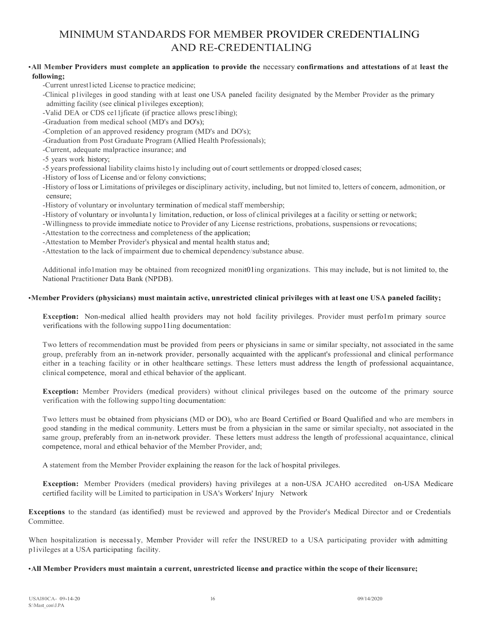# MINIMUM STANDARDS FOR MEMBER PROVIDER CREDENTIALING AND RE-CREDENTIALING

# •**All Member Providers must complete an application to provide the** necessary **confirmations and attestations of** at **least the following;**

-Current unrest1icted License to practice medicine;

-Clinical p1ivileges in good standing with at least one USA paneled facility designated by the Member Provider as the primary admitting facility (see clinical p1ivileges exception);

-Valid DEA or CDS ce11jficate (if practice allows presc1ibing);

-Graduation from medical school (MD's and DO's);

-Completion of an approved residency program (MD's and DO's);

-Graduation from Post Graduate Program (Allied Health Professionals);

-Current, adequate malpractice insurance; and

-5 years work history;

-5 years professional liability claims histo1y including out of court settlements or dropped/closed cases;

-History of loss of License and/or felony convictions;

-History of loss or Limitations of privileges or disciplinary activity, including, but not limited to, letters of concern, admonition, or censure;

-History of voluntary or involuntary termination of medical staff membership;

-History of voluntary or involunta1y limitation, reduction, or loss of clinical privileges at a facility orsetting or network;

-Willingness to provide immediate notice to Provider of any License restrictions, probations, suspensions or revocations;

-Attestation to the correctness and completeness of the application;

-Attestation to Member Provider's physical and mental health status and;

-Attestation to the lack of impairment due to chemical dependency/substance abuse.

Additional info1mation may be obtained from recognized monit01ing organizations. This may include, but is not limited to, the National Practitioner Data Bank (NPDB).

# •**Member Providers (physicians) must maintain active, unrestricted clinical privileges with at least one USA paneled facility;**

**Exception:** Non-medical allied health providers may not hold facility privileges. Provider must perfolm primary source verifications with the following suppo11ing documentation:

Two letters of recommendation must be provided from peers or physicians in same or similar specialty, not associated in the same group, preferably from an in-network provider, personally acquainted with the applicant's professional and clinical performance either in a teaching facility or in other healthcare settings. These letters must address the length of professional acquaintance, clinical competence, moral and ethical behavior of the applicant.

**Exception:** Member Providers (medical providers) without clinical privileges based on the outcome of the primary source verification with the following suppo1ting documentation:

Two letters must be obtained from physicians (MD or DO), who are Board Certified or Board Qualified and who are members in good standing in the medical community. Letters must be from a physician in the same or similar specialty, not associated in the same group, preferably from an in-network provider. These letters must address the length of professional acquaintance, clinical competence, moral and ethical behavior of the Member Provider, and;

A statement from the Member Provider explaining the reason for the lack of hospital privileges.

**Exception:** Member Providers (medical providers) having privileges at a non-USA JCAHO accredited on-USA Medicare certified facility will be Limited to participation in USA's Workers' Injury Network

**Exceptions** to the standard (as identified) must be reviewed and approved by the Provider's Medical Director and or Credentials Committee.

When hospitalization is necessa1y, Member Provider will refer the INSURED to a USA participating provider with admitting p1ivileges at a USA participating facility.

#### •**All Member Providers must maintain a current, unrestricted license and practice within the scope of their licensure;**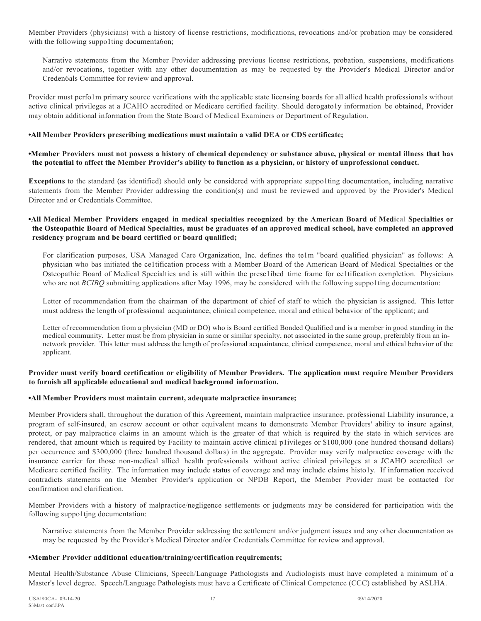Member Providers (physicians) with a history of license restrictions, modifications, revocations and/or probation may be considered with the following suppo1ting documenta6on;

Narrative statements from the Member Provider addressing previous license restrictions, probation, suspensions, modifications and/or revocations, together with any other documentation as may be requested by the Provider's Medical Director and/or Creden6als Committee for review and approval.

Provider must perfo1m primary source verifications with the applicable state licensing boards for all allied health professionals without active clinical privileges at a JCAHO accredited or Medicare certified facility. Should derogatoly information be obtained, Provider may obtain additional information from the State Board of Medical Examiners or Department of Regulation.

# **•All Member Providers prescribing medications must maintain a valid DEA or CDS certificate;**

# **•Member Providers must not possess a history of chemical dependency or substance abuse, physical or mental illness that has the potential to affect the Member Provider's ability to function as a physician, or history of unprofessional conduct.**

**Exceptions** to the standard (as identified) should only be considered with appropriate suppo1ting documentation, including narrative statements from the Member Provider addressing the condition(s) and must be reviewed and approved by the Provider's Medical Director and or Credentials Committee.

# **•All Medical Member Providers engaged in medical specialties recognized by the American Board of Medical Specialties or the Osteopathic Board of Medical Specialties, must be graduates of an approved medical school, have completed an approved residency program and be board certified or board qualified;**

For clarification purposes, USA Managed Care Organization, Inc. defines the te1m "board qualified physician" as follows: A physician who bas initiated the ce1tification process with a Member Board of the American Board of Medical Specialties or the Osteopathic Board of Medical Specialties and is still within the presc1ibed time frame for ce1tification completion. Physicians who are not *BCIBQ* submitting applications after May 1996, may be considered with the following suppo1ting documentation:

Letter of recommendation from the chairman of the department of chief of staff to which the physician is assigned. This letter must address the length of professional acquaintance, clinical competence, moral and ethical behavior of the applicant; and

Letter of recommendation from a physician (MD or DO) who is Board certified Bonded Qualified and is a member in good standing in the medical community. Letter must be from physician in same or similar specialty, not associated in the same group, preferably from an innetwork provider. This letter must address the length of professional acquaintance, clinical competence, moral and ethical behavior of the applicant.

# **Provider must verify board certification or eligibility of Member Providers. The application must require Member Providers to furnish all applicable educational and medical background information.**

# **•All Member Providers must maintain current, adequate malpractice insurance;**

Member Providers shall, throughout the duration of this Agreement, maintain malpractice insurance, professional Liability insurance, a program of self-insured, an escrow account or other equivalent means to demonstrate Member Providers' ability to insure against, protect, or pay malpractice claims in an amount which is the greater of that which is required by the state in which services are rendered, that amount which is required by Facility to maintain active clinical p1ivileges or \$100,000 (one hundred thousand dollars) per occurrence and \$300,000 (three hundred thousand dollars) in the aggregate. Provider may verify malpractice coverage with the insurance carrier for those non-medical allied health professionals without active clinical privileges at a JCAHO accredited or Medicare certified facility. The information may include status of coverage and may include claims histo1y. If information received contradicts statements on the Member Provider's application or NPDB Report, the Member Provider must be contacted for confirmation and clarification.

Member Providers with a history of malpractice/negligence settlements or judgments may be considered for participation with the following suppo1tjng documentation:

Narrative statements from the Member Provider addressing the settlement and/or judgment issues and any other documentation as may be requested by the Provider's Medical Director and/or Credentials Committee for review and approval.

# **•Member Provider additional education/training/certification requirements;**

Mental Health/Substance Abuse Clinicians, Speech/Language Pathologists and Audiologists must have completed a minimum of a Master's level degree. Speech/Language Pathologists must have a Certificate of Clinical Competence (CCC) established by ASLHA.